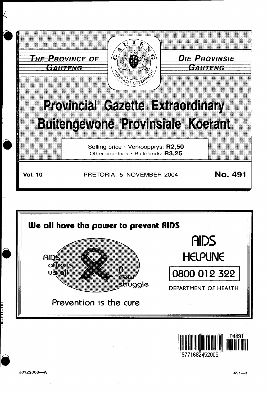





3771682452005

J0122008-A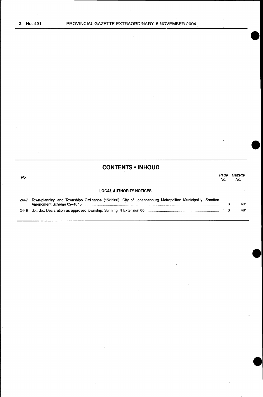|      | <b>CONTENTS • INHOUD</b>                                                                                 |             |                |
|------|----------------------------------------------------------------------------------------------------------|-------------|----------------|
| No.  |                                                                                                          | Page<br>No. | Gazette<br>No. |
|      | <b>LOCAL AUTHORITY NOTICES</b>                                                                           |             |                |
| 2447 | Town-planning and Townships Ordinance (15/1986): City of Johannesburg Metropolitan Municipality: Sandton |             | 491            |
| 2448 |                                                                                                          |             | 491            |
|      |                                                                                                          |             |                |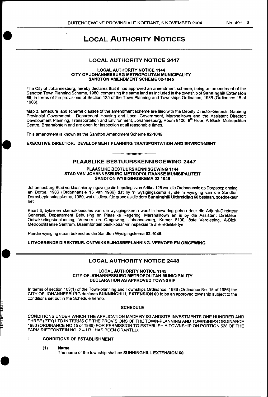# LOCAL AUTHORITY NOTICES

## LOCAL AUTHORITY NOTICE 2447

#### LOCAL AUTHORITY NOTICE 1144 CITY OF JOHANNESBURG METROPOLITAN MUNICIPALITY SANDTON AMENDMENT SCHEME 02-1045

The City of Johannesburg, hereby declares that it has approved an amendment scheme, being an amendment of the Sandton Town Planning Scheme, 1980, comprising the same land as included in the township of **Sunninghill Extension** 60, in terms of the provisions of Section 125 of the Town Planning and Townships Ordinance, 1986 (Ordinance 15 of 1986).

Map 3, annexure and scheme clauses of the amendment scheme are filed with the Deputy Director-General, Gauteng Provincial Government: Department Housing and Local Government, Marshalltown and the Assistant Director:<br>Development Planning, Transportation and Environment, Johannesburg, Room 8100, 8<sup>th</sup> Floor, A-Block, Metropolitan Centre, Braamfontein and are open for inspection at all reasonable times.

This amendment is known as the Sandton Amendment Scheme 02-1045

• EXECUTIVE DIRECTOR: DEVELOPMENT PLANNING TRANSPORTATION AND ENVIRONMENT

## PLAASLIKE BESTUURSKENNISGEWING 2447

#### PLAASLIKE BESTUURSKENNISGEWING 1144 STAD VAN JOHANNESBURG METROPOLITAANSE MUNISIPALITEIT SANDTON WYSIGINGSKEMA 02-1045

Johannesburg Stad verklaar hierby ingevolge die bepalings van Artikel125 van die Ordonnansie op Dorpsbeplanning en Dorpe, 1986 (Ordonnansie 15 van 1986) dat hy 'n wysigingskema synde 'n wysiging van die Sandton Dorpsbeplanningskema, 1980, wat uit dieselfde grond as die dorp **Sunninghill Uitbreiding 60** bestaan, goedgekeur het.

Kaart 3, bylae en skemaklousules van die wysigingskema word in bewaring gehou deur die Adjunk-Direkteur Generaal, Departement Behuising en Plaaslike Regering, Marshalltown en is by die Assistant Direkteur: Ontwikkelingsbeplanning, Vervoer en Omgewing, Johannesburg, Kamer 8100, 8ste Verdieping, A-Biok, Metropolitaanse Sentrum, Braamfontein beskikbaar vir inspeksie te aile redelike tye.

Hierdie wysiging staan bekend as die Sandton Wysigingskema 02-1045.

UITVOERENDE DIREKTEUR1 ONTWIKKELINGSBEPLANNING. VERVOER EN OMGEWING

## LOCAL AUTHORITY NOTICE 2448

#### LOCAL AUTHORITY NOTICE 1145 CITY OF JOHANNESBURG METROPOLITAN MUNICIPALITY DECLARATION AS APPROVED TOWNSHIP

In terms of section 103(1) of the Town-planning and Townships Ordinance, 1986 (Ordinance No. 15 of 1986) the CITY OF JOHANNESBURG declares SUNNING HILL EXTENSION 60 to be an approved township subject to the conditions set out in the Schedule hereto.

#### **SCHEDULE**

CONDITIONS UNDER WHICH THE APPLICATION MADE BY ISLANDSITE INVESTMENTS ONE HUNDRED AND THREE (PTY) LTD IN TERMS OF THE PROVISIONS OF THE TOWN-PLANNING AND TOWNSHIPS ORDINANCE 1986 (ORDINANCE NO 15 of 1986) FOR PERMISSION TO ESTABLISH A TOWNSHIP ON PORTION 528 OF THE FARM RIETFONTEIN NO. 2 - I.R., HAS BEEN GRANTED.

#### 1. CONDITIONS OF ESTABLISHMENT

(1) Name

UCUCUU

The name of the township shall be SUNNINGHILL EXTENSION 60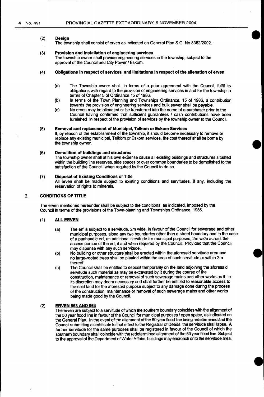#### (2) Design

The township shall consist of erven as indicated on General Plan S.G. No 838212002.

#### (3) Provision and installation of engineering services

The township owner shall provide engineering services in the township, subject to the approval of the Council and City Power / Eskom.

#### (4) Obligations in respect of services and limitations in respect of the alienation of erven

- (a) The Township owner shall, in terms of a prior agreement with the Council, fulfil its obligations with regard to the provision of engineering services in and for the township in terms of Chapter 5 of Ordinance 15 of 1986.
- (b) In terms of the Town Planning and Townships Ordinance, 15 of 1986, a contribution towards the provision of engineering services and bulk sewer shall be payable.
- (c) No erven may be alienated or be transferred into the name of a purchaser prior to the Council having confirmed that sufficient guarantees I cash contributions have been furnished in respect of the provision of services by the township owner to the Council.

#### (5) Removal and replacement of Municipal, Telkom or Eskom Services

If, by reason of the establishment of the township, it should become necessary to remove or replace any existing municipal, Telkom or Eskom services, the cost thereof shall be borne by the township owner.

#### (6) Demolition of buildings and structures

The township owner shall at his own expense cause all existing buildings and structures situated within the building line reserves, side spaces or over common boundaries to be demolished to the satisfaction of the Council, when required by the Council to do so.

#### (7) Disposal of Existing Conditions of Title

All erven shall be made subject to existing conditions and servitudes, if any, including the reservation of rights to minerals.

## 2. CONDITIONS OF TITLE

The erven mentioned hereunder shall be subject to the conditions, as indicated, imposed by the Council in terms of the provisions of the Town-planning and Townships Ordinance, 1986.

#### (1) ALL ERVEN

- (a) The erf is subject to a servitude, 2m wide, in favour of the Council for sewerage and other municipal purposes, along any two boundaries other than a street boundary and in the case of a panhandle erf, an additional servitude for municipal purposes, 2m wide across the access portion of the erf, if and when required by the Council: Provided that the Council may dispense with any such servitude.
- (b) No building or other structure shall be erected within the aforesaid servitude area and no large-rooted trees shall be planted within the area of such servitude or within 2m thereof.
- (c) The Council shall be entitled to deposit temporarily on the land adjoining the aforesaid servitude such material as may be excavated by it during the course of the construction, maintenance or removal of such sewerage mains and other works as it, in its discretion may deem necessary and shall further be entitled to reasonable access to the said land for the aforesaid purpose subject to any damage done during the process of the construction, maintenance or removal of such sewerage mains and other works being made good by the Council.

#### (2) ERVEN 963 AND 964

The erven are subject to a servitude of which the southern boundary coincides with the alignment of the 50 year flood line in favour of the Council for municipal purposes / open space, as indicated on the General Plan. In the event of the alignment of the 50 year flood line being redetermined and the Council submitting a certificate to that effect to the Registrar of Deeds, the servitude shall lapse. A further servitude for the same purposes shall be registered in favour of the Council of which the southern boundary shall coincide with the redetermined alignment of the 50 year flood line. Subject to the approval of the Department of Water Affairs, buildings may encroach onto the servitude area.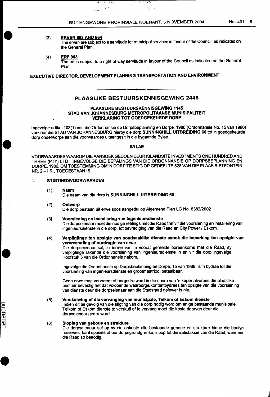s produced and

#### (3} ERVEN 963 AND 964

• <sup>-</sup>

•

The erven are subject to a servitude for municipal services in favour of the Council, as indicated on the General Plan.

 $\sim$   $\sim$   $\sim$ 

(4) ERF 963

The erf is subject to a right of way servitude in favour of the Council as indicated on the General Plan.

# EXECUTIVE DIRECTOR, DEVELOPMENT PLANNING TRANSPORTATION AND ENVIRONMENT

मुष्य प्राप्त हो।  $\chi$   $\bar{\chi}$ 

 $\overline{a}$ 

## PLAASLIKE BESTUURSKENNISGEWING 2448

#### PLAASLIKE BESTUURSKENNISGEWING 1145 STAD VAN JOHANNESBURG METROPOLITAANSE MUNISIPALITEIT VERKLARING TOT GOEDGEKEURDE DORP

Ingevolge artikel 103(1) van die Ordonnansie op Dorpsbeplanning en Dorpe, 1986 (Ordonnansie No. 15 van 1986) verklaar die STAD VAN JOHANNESBURG hierby die dorp SUNNINGHILL UITBREIDING 60 tot 'n goedgekeurde dorp onderworpe aan die voorwaardes uiteengesit in die bygaande Bylae .

### BYLAE

VOORWAARDES WAAROP DIE AANSOEK GEDOEN DEUR ISLANDSITE INVESTMENTS ONE HUNDRED AND THREE (PTY) LTD INGEVOLGE DIE BEPALINGS VAN DIE ORDONNANSIE OP DORPSBEPLANNING EN DORPE, 1986, OM TOESTEMMING OM 'N DORP TE STIG OP GEDEELTE 528 VAN DIE PLAAS RIETFONTEIN NR. 2-I.R., TOEGESTAAN IS.

## 1. STIGTINGSVOORWAARDES

- (1) Naam Die naam van die dorp is SUNNINGHILL UITBREIDING 60
- (2) Ontwerp Die dorp bestaan uit erwe soos aangedui op Algemene Plan LG No. 8382/2002
- (3) Voorsienlng en installering van lngenieursdienste Die dorpseienaar moet die nodige reëlings met die Raad tref vir die voorsiening en installering van ingenieursdienste in die dorp, tot bevrediging van die Raad en City Power / Eskom.
- (4) Verpligtinge ten opsigte van noodsaaklike dienste asook die beperking ten opsigte van vervreemding of oordragte van erwe

Die dorpseienaar sal, in terme van 'n vooraf gereëlde ooreenkoms met die Raad, sy verpligtinge rakende die voorsiening van ingenieursdienste in en vir die dorp ingevalge Hoofstuk 5 van die Ordonnansie nakom.

lngevolge die Ordonnansie op Dorpsbeplanning en Dorpe, 15 van 1986, is 'n bydrae tot die voorsiening van ingenieursdienste en grootmaatriool betaalbaar.

Geen erwe mag vervreem of oorgedra word in die naam van 'n koper alvorens die plaaslike bestuur bevestig het dat voldoende waarborgelkontantbydraes ten opsigte van die voorsiening van dienste deur die dorpseienaar aan die Stadsraad gelewer is nie.

#### (5) Verskulwlng of die vervanging van munisipale, Telkom of Eskom dienste

lndien dit as gevolg van die stigting van die dorp nodig word om enige bestaande munisipale, Telkom of Eskom dienste te verskuif of te vervang moet die koste daarvan deur die dorpseienaar gedra word.

#### (6) Sloping van geboue en strukture

Die dorpseienaar sal op sy eie onkoste aile bestaande geboue en strukture binne die boulyn reserwes, kant spasies of oor dorpsgrondgrense, sloop tot die satisfaksie van die Raad, wanneer die Raad so benodig.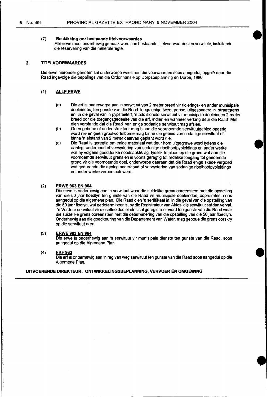#### (7) **Beskikking oor bestaande titelvoorwaardes**

Aile erwe moet onderhewig gemaak word aan bestaande titelvoorwaardes en serwitute, insluitende die reservering van die mineraleregte.

•

#### **2. TITELVOORWAARDES**

Die erwe hieronder genoem sal onderworpe wees aan die voorwaardes soos aangedui, opgelê deur die Raad ingevolge die bepalings van die Ordonnansie op Dorpsbeplanning en Dorpe, 1986.

## ( 1) **ALLE ERWE**

- (a) Die erf is onderworpe aan 'n serwituut van 2 meter breed vir riolerings- en ander munisipale doeleindes, ten gunste van die Raad langs enige twee grense, uitgesonderd 'n straatgrens en, in die geval van 'n pypsteelerf, 'n addisionele serwituut vir munisipale doeleindes 2 meter breed oar die toegangsgedeelte van die erf, indien en wanneer verlang deur die Raad: Met dien verstande dat die Raad van enige sodanige serwituut mag afsien.
- (b) Geen geboue of ander struktuur mag binne die voornoemde serwituutgebied opgerig word nie en geen grootwortelbome mag binne die gebied van sodanige serwituut of binne 'n afstand van 2 meter daarvan geplant word nie.
- (c) Die Raad is geregtig om enige materiaal wat deur hom uitgegrawe word tydens die aanleg, onderhoud of verwydering van sodanige rioolhoofpypleidings en ander werke wat hy volgens goeddunke noodsaaklik ag, tydelik te plaas op die grand wat aan die voornoemde serwituut grens en is voorts geregtig tot redelike toegang tot genoemde grand vir die voomoemde doel, onderworpe daaraan dat die Raad enige skade vergoed wat gedurende die aanleg onderhoud of verwydering van sodanige rioolhoofpypleidings en anderwerke veroorsaak word.

## (2) **ERWE 963 EN 964**

Die erwe is onderhewig aan 'n serwituut waar die suidelike grens ooreenstem met die opstelling van die 50 jaar floedlyn ten gunste van die Raad vir munisipale doeleindes, oopruimtes, soos aangedui op die algemene plan. Die Raad dien 'n sertifikaat in, in die geval van die opstelling van die 50 jaar flodlyn, wat gedetermineer is, by die Registrateur van Aktes, die serwituut sal dan verval. 'n Verdere serwituut vir dieselfde doeleindes sal geregistreer word ten gunste van die Raad waar die suidelike grens ooreenstem met die determinering van die opstelling van die 50 jaar floedlyn. Onderhewig aan die goedkeuring van die Departement van Water, mag geboue die grens oorskry op die serwituut area.

#### (3) **ERWE 963 EN 964**

Die erwe is onderhewig aan 'n serwituut vir munisipale dienste ten gunste van die Raad, soos aangedui op die Algemene Plan.

#### (4) **ERF 963**

Die erf is onderhewig aan 'n reg van weg serwituut ten gunste van die Raad soos aangedui op die Algemene Plan.

## **UITVOERENDE DIREKTEUR: ONTWIKKELINGSBEPLANNING, VERVOER EN OMGEWING**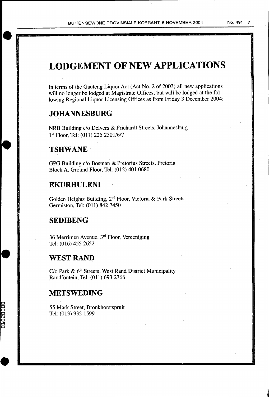# **LODGEMENT OF NEW APPLICATIONS**

In terms of the Gauteng Liquor Act (Act No. 2 of 2003) all new applications will no longer be lodged at Magistrate Offices, but will be lodged at the following Regional Liquor Licensing Offices as from Friday 3 December 2004:

# **JOHANNESBURG**

NRB Building c/o Delvers & Prichardt Streets, Johannesburg 1<sup>st</sup> Floor, Tel: (011) 225 2301/6/7

# **TSHWANE**

GPG Building c/o Bosman & Pretorius Streets, Pretoria Block A, Ground Floor, Tel: (012) 401 0680

# **EKURHULENI**

Golden Heights Building, 2nd Floor, Victoria & Park Streets Gerrniston, Tel: (011) 842 7450

# **SEDIBENG**

36 Merrimen Avenue, 3rd Floor, Vereeniging Tel: (016) 455 2652

# **WEST RAND**

 $C$ /o Park &  $6<sup>th</sup>$  Streets, West Rand District Municipality Randfontein, Tel: (011) 693 2766

# **METSWEDING**

01020000

55 Mark Street, Bronkhorstspruit Tel: (013) 932 1599